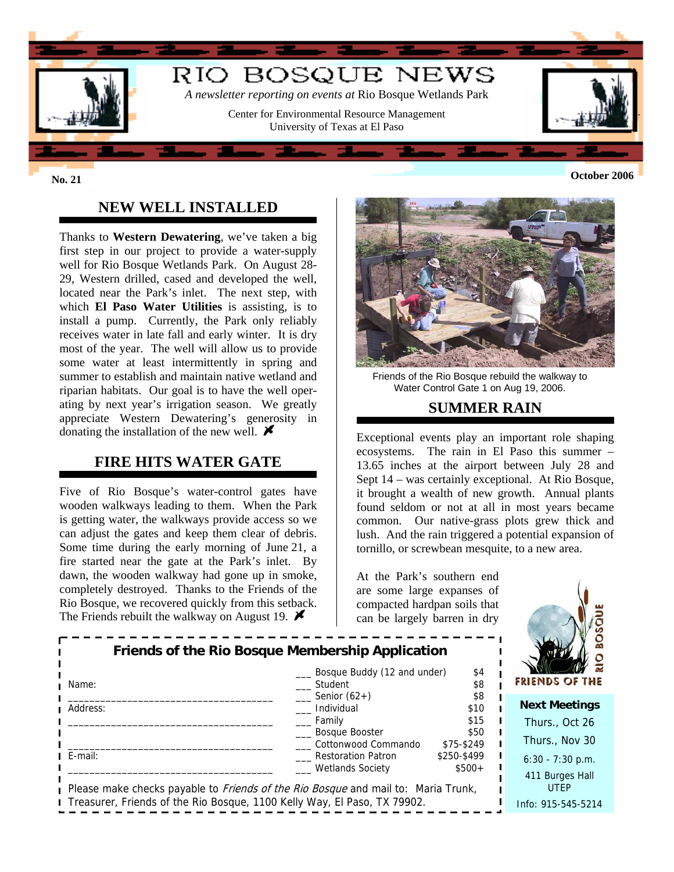

### **NEW WELL INSTALLED**

Thanks to **Western Dewatering**, we've taken a big first step in our project to provide a water-supply well for Rio Bosque Wetlands Park. On August 28- 29, Western drilled, cased and developed the well, located near the Park's inlet. The next step, with which **El Paso Water Utilities** is assisting, is to install a pump. Currently, the Park only reliably receives water in late fall and early winter. It is dry most of the year. The well will allow us to provide some water at least intermittently in spring and summer to establish and maintain native wetland and riparian habitats. Our goal is to have the well operating by next year's irrigation season. We greatly appreciate Western Dewatering's generosity in donating the installation of the new well.  $\blacktriangleright$ 

#### **FIRE HITS WATER GATE**

Five of Rio Bosque's water-control gates have wooden walkways leading to them. When the Park is getting water, the walkways provide access so we can adjust the gates and keep them clear of debris. Some time during the early morning of June 21, a fire started near the gate at the Park's inlet. By dawn, the wooden walkway had gone up in smoke, completely destroyed. Thanks to the Friends of the Rio Bosque, we recovered quickly from this setback. The Friends rebuilt the walkway on August 19.  $\blacktriangleright$ 



Friends of the Rio Bosque rebuild the walkway to Water Control Gate 1 on Aug 19, 2006.

#### **SUMMER RAIN**

Exceptional events play an important role shaping ecosystems. The rain in El Paso this summer – 13.65 inches at the airport between July 28 and Sept 14 – was certainly exceptional. At Rio Bosque, it brought a wealth of new growth. Annual plants found seldom or not at all in most years became common. Our native-grass plots grew thick and lush. And the rain triggered a potential expansion of tornillo, or screwbean mesquite, to a new area.

 $\blacksquare$ 

At the Park's southern end are some large expanses of compacted hardpan soils that can be largely barren in dry



| Name:                                                                                    | Bosque Buddy (12 and under)<br>Student               | \$4<br>\$8             | O<br><b>FRIENDS OF THE</b> |
|------------------------------------------------------------------------------------------|------------------------------------------------------|------------------------|----------------------------|
| Address:                                                                                 | Senior $(62+)$<br>Individual                         | \$8<br>\$10            | <b>Next Meetings</b>       |
|                                                                                          | Family                                               | \$15                   | Thurs., Oct 26             |
|                                                                                          | Bosque Booster<br>Cottonwood Commando                | \$50<br>\$75-\$249     | Thurs., Nov 30             |
| E-mail:                                                                                  | <b>Restoration Patron</b><br><b>Wetlands Society</b> | \$250-\$499<br>$$500+$ | $6:30 - 7:30$ p.m.         |
| Please make checks payable to <i>Friends of the Rio Bosque</i> and mail to: Maria Trunk, | 411 Burges Hall<br><b>UTEP</b>                       |                        |                            |
| Treasurer, Friends of the Rio Bosque, 1100 Kelly Way, El Paso, TX 79902.                 |                                                      |                        | Info: 915-545-5214         |

**Friends of the Rio Bosque Membership Application**